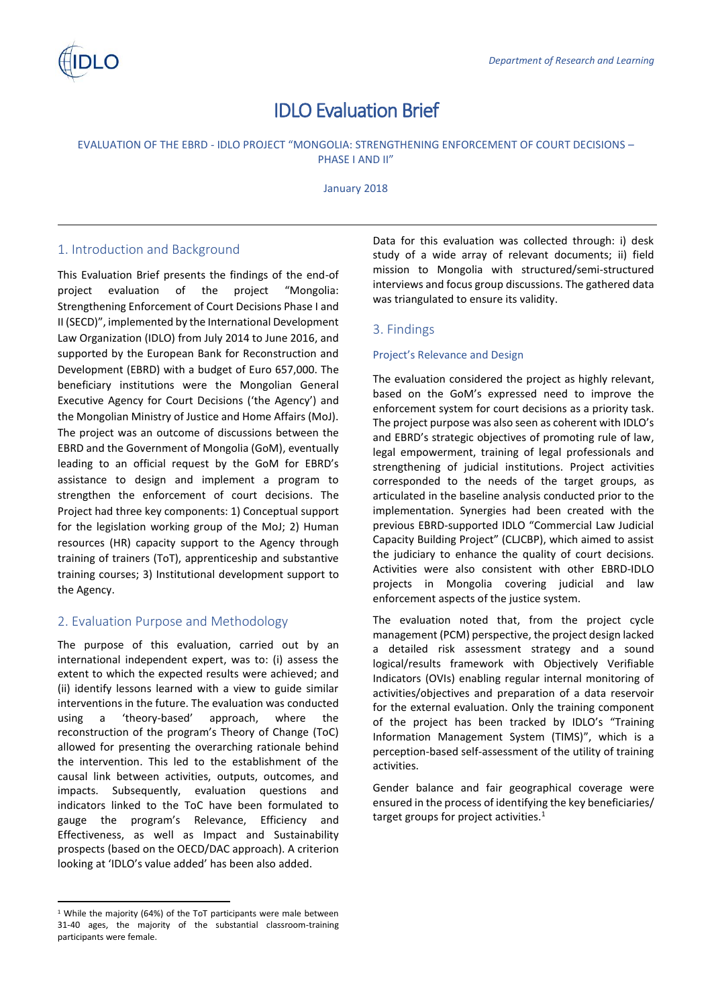

# IDLO Evaluation Brief

# EVALUATION OF THE EBRD - IDLO PROJECT "MONGOLIA: STRENGTHENING ENFORCEMENT OF COURT DECISIONS – PHASE I AND II"

January 2018

# 1. Introduction and Background

This Evaluation Brief presents the findings of the end-of project evaluation of the project "Mongolia: Strengthening Enforcement of Court Decisions Phase I and II (SECD)", implemented by the International Development Law Organization (IDLO) from July 2014 to June 2016, and supported by the European Bank for Reconstruction and Development (EBRD) with a budget of Euro 657,000. The beneficiary institutions were the Mongolian General Executive Agency for Court Decisions ('the Agency') and the Mongolian Ministry of Justice and Home Affairs (MoJ). The project was an outcome of discussions between the EBRD and the Government of Mongolia (GoM), eventually leading to an official request by the GoM for EBRD's assistance to design and implement a program to strengthen the enforcement of court decisions. The Project had three key components: 1) Conceptual support for the legislation working group of the MoJ; 2) Human resources (HR) capacity support to the Agency through training of trainers (ToT), apprenticeship and substantive training courses; 3) Institutional development support to the Agency.

# 2. Evaluation Purpose and Methodology

The purpose of this evaluation, carried out by an international independent expert, was to: (i) assess the extent to which the expected results were achieved; and (ii) identify lessons learned with a view to guide similar interventions in the future. The evaluation was conducted using a 'theory-based' approach, where the reconstruction of the program's Theory of Change (ToC) allowed for presenting the overarching rationale behind the intervention. This led to the establishment of the causal link between activities, outputs, outcomes, and impacts. Subsequently, evaluation questions and indicators linked to the ToC have been formulated to gauge the program's Relevance, Efficiency and Effectiveness, as well as Impact and Sustainability prospects (based on the OECD/DAC approach). A criterion looking at 'IDLO's value added' has been also added.

 $\overline{a}$ 

Data for this evaluation was collected through: i) desk study of a wide array of relevant documents; ii) field mission to Mongolia with structured/semi-structured interviews and focus group discussions. The gathered data was triangulated to ensure its validity.

# 3. Findings

## Project's Relevance and Design

The evaluation considered the project as highly relevant, based on the GoM's expressed need to improve the enforcement system for court decisions as a priority task. The project purpose was also seen as coherent with IDLO's and EBRD's strategic objectives of promoting rule of law, legal empowerment, training of legal professionals and strengthening of judicial institutions. Project activities corresponded to the needs of the target groups, as articulated in the baseline analysis conducted prior to the implementation. Synergies had been created with the previous EBRD-supported IDLO "Commercial Law Judicial Capacity Building Project" (CLJCBP), which aimed to assist the judiciary to enhance the quality of court decisions. Activities were also consistent with other EBRD-IDLO projects in Mongolia covering judicial and law enforcement aspects of the justice system.

The evaluation noted that, from the project cycle management (PCM) perspective, the project design lacked a detailed risk assessment strategy and a sound logical/results framework with Objectively Verifiable Indicators (OVIs) enabling regular internal monitoring of activities/objectives and preparation of a data reservoir for the external evaluation. Only the training component of the project has been tracked by IDLO's "Training Information Management System (TIMS)", which is a perception-based self-assessment of the utility of training activities.

Gender balance and fair geographical coverage were ensured in the process of identifying the key beneficiaries/ target groups for project activities.<sup>1</sup>

<sup>&</sup>lt;sup>1</sup> While the majority (64%) of the ToT participants were male between 31-40 ages, the majority of the substantial classroom-training participants were female.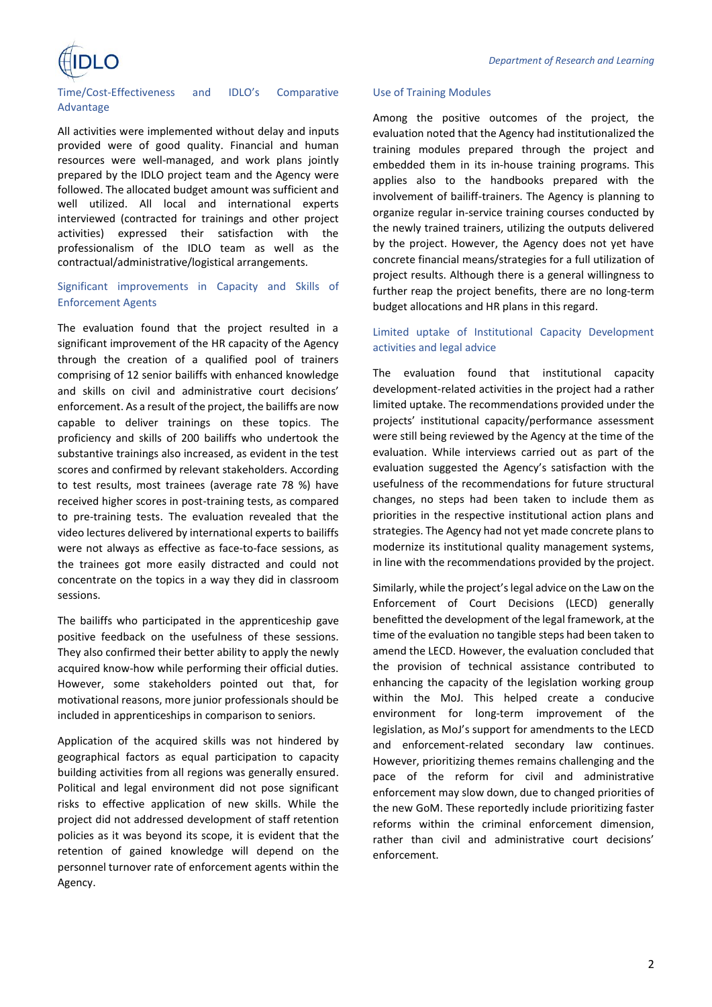

#### Time/Cost-Effectiveness and IDLO's Comparative Advantage

All activities were implemented without delay and inputs provided were of good quality. Financial and human resources were well-managed, and work plans jointly prepared by the IDLO project team and the Agency were followed. The allocated budget amount was sufficient and well utilized. All local and international experts interviewed (contracted for trainings and other project activities) expressed their satisfaction with the professionalism of the IDLO team as well as the contractual/administrative/logistical arrangements.

# Significant improvements in Capacity and Skills of Enforcement Agents

The evaluation found that the project resulted in a significant improvement of the HR capacity of the Agency through the creation of a qualified pool of trainers comprising of 12 senior bailiffs with enhanced knowledge and skills on civil and administrative court decisions' enforcement. As a result of the project, the bailiffs are now capable to deliver trainings on these topics. The proficiency and skills of 200 bailiffs who undertook the substantive trainings also increased, as evident in the test scores and confirmed by relevant stakeholders. According to test results, most trainees (average rate 78 %) have received higher scores in post-training tests, as compared to pre-training tests. The evaluation revealed that the video lectures delivered by international experts to bailiffs were not always as effective as face-to-face sessions, as the trainees got more easily distracted and could not concentrate on the topics in a way they did in classroom sessions.

The bailiffs who participated in the apprenticeship gave positive feedback on the usefulness of these sessions. They also confirmed their better ability to apply the newly acquired know-how while performing their official duties. However, some stakeholders pointed out that, for motivational reasons, more junior professionals should be included in apprenticeships in comparison to seniors.

Application of the acquired skills was not hindered by geographical factors as equal participation to capacity building activities from all regions was generally ensured. Political and legal environment did not pose significant risks to effective application of new skills. While the project did not addressed development of staff retention policies as it was beyond its scope, it is evident that the retention of gained knowledge will depend on the personnel turnover rate of enforcement agents within the Agency.

#### Use of Training Modules

Among the positive outcomes of the project, the evaluation noted that the Agency had institutionalized the training modules prepared through the project and embedded them in its in-house training programs. This applies also to the handbooks prepared with the involvement of bailiff-trainers. The Agency is planning to organize regular in-service training courses conducted by the newly trained trainers, utilizing the outputs delivered by the project. However, the Agency does not yet have concrete financial means/strategies for a full utilization of project results. Although there is a general willingness to further reap the project benefits, there are no long-term budget allocations and HR plans in this regard.

# Limited uptake of Institutional Capacity Development activities and legal advice

The evaluation found that institutional capacity development-related activities in the project had a rather limited uptake. The recommendations provided under the projects' institutional capacity/performance assessment were still being reviewed by the Agency at the time of the evaluation. While interviews carried out as part of the evaluation suggested the Agency's satisfaction with the usefulness of the recommendations for future structural changes, no steps had been taken to include them as priorities in the respective institutional action plans and strategies. The Agency had not yet made concrete plans to modernize its institutional quality management systems, in line with the recommendations provided by the project.

Similarly, while the project's legal advice on the Law on the Enforcement of Court Decisions (LECD) generally benefitted the development of the legal framework, at the time of the evaluation no tangible steps had been taken to amend the LECD. However, the evaluation concluded that the provision of technical assistance contributed to enhancing the capacity of the legislation working group within the MoJ. This helped create a conducive environment for long-term improvement of the legislation, as MoJ's support for amendments to the LECD and enforcement-related secondary law continues. However, prioritizing themes remains challenging and the pace of the reform for civil and administrative enforcement may slow down, due to changed priorities of the new GoM. These reportedly include prioritizing faster reforms within the criminal enforcement dimension, rather than civil and administrative court decisions' enforcement.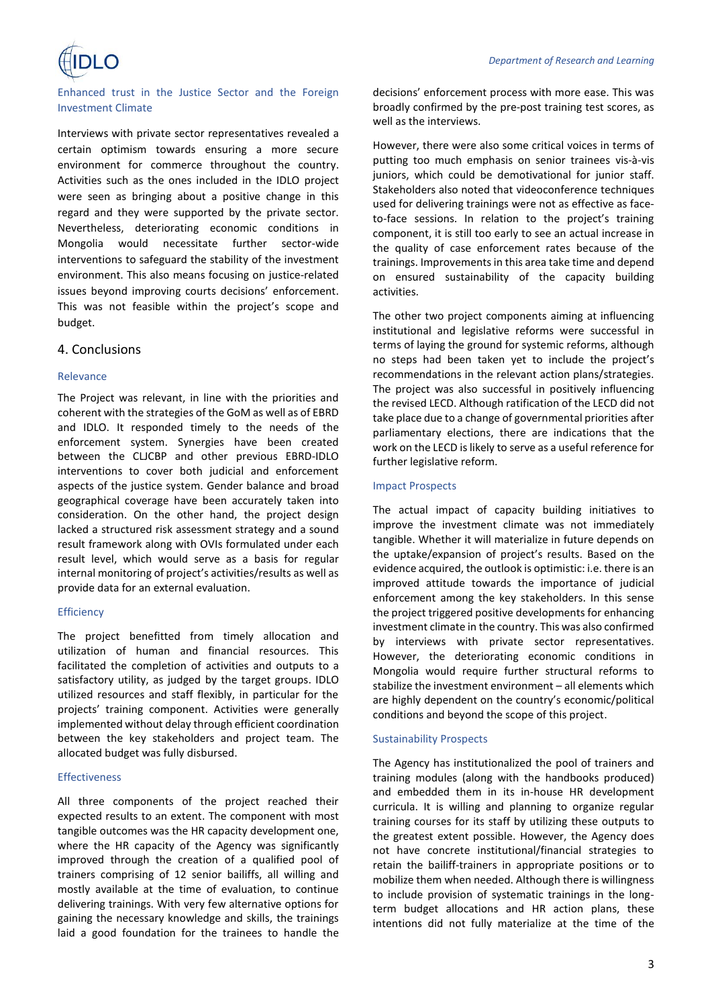

Enhanced trust in the Justice Sector and the Foreign Investment Climate

Interviews with private sector representatives revealed a certain optimism towards ensuring a more secure environment for commerce throughout the country. Activities such as the ones included in the IDLO project were seen as bringing about a positive change in this regard and they were supported by the private sector. Nevertheless, deteriorating economic conditions in Mongolia would necessitate further sector-wide interventions to safeguard the stability of the investment environment. This also means focusing on justice-related issues beyond improving courts decisions' enforcement. This was not feasible within the project's scope and budget.

# 4. Conclusions

#### Relevance

The Project was relevant, in line with the priorities and coherent with the strategies of the GoM as well as of EBRD and IDLO. It responded timely to the needs of the enforcement system. Synergies have been created between the CLJCBP and other previous EBRD-IDLO interventions to cover both judicial and enforcement aspects of the justice system. Gender balance and broad geographical coverage have been accurately taken into consideration. On the other hand, the project design lacked a structured risk assessment strategy and a sound result framework along with OVIs formulated under each result level, which would serve as a basis for regular internal monitoring of project's activities/results as well as provide data for an external evaluation.

#### **Efficiency**

The project benefitted from timely allocation and utilization of human and financial resources. This facilitated the completion of activities and outputs to a satisfactory utility, as judged by the target groups. IDLO utilized resources and staff flexibly, in particular for the projects' training component. Activities were generally implemented without delay through efficient coordination between the key stakeholders and project team. The allocated budget was fully disbursed.

#### **Effectiveness**

All three components of the project reached their expected results to an extent. The component with most tangible outcomes was the HR capacity development one, where the HR capacity of the Agency was significantly improved through the creation of a qualified pool of trainers comprising of 12 senior bailiffs, all willing and mostly available at the time of evaluation, to continue delivering trainings. With very few alternative options for gaining the necessary knowledge and skills, the trainings laid a good foundation for the trainees to handle the

decisions' enforcement process with more ease. This was broadly confirmed by the pre-post training test scores, as well as the interviews.

However, there were also some critical voices in terms of putting too much emphasis on senior trainees vis-à-vis juniors, which could be demotivational for junior staff. Stakeholders also noted that videoconference techniques used for delivering trainings were not as effective as faceto-face sessions. In relation to the project's training component, it is still too early to see an actual increase in the quality of case enforcement rates because of the trainings. Improvements in this area take time and depend on ensured sustainability of the capacity building activities.

The other two project components aiming at influencing institutional and legislative reforms were successful in terms of laying the ground for systemic reforms, although no steps had been taken yet to include the project's recommendations in the relevant action plans/strategies. The project was also successful in positively influencing the revised LECD. Although ratification of the LECD did not take place due to a change of governmental priorities after parliamentary elections, there are indications that the work on the LECD is likely to serve as a useful reference for further legislative reform.

#### Impact Prospects

The actual impact of capacity building initiatives to improve the investment climate was not immediately tangible. Whether it will materialize in future depends on the uptake/expansion of project's results. Based on the evidence acquired, the outlook is optimistic: i.e. there is an improved attitude towards the importance of judicial enforcement among the key stakeholders. In this sense the project triggered positive developments for enhancing investment climate in the country. This was also confirmed by interviews with private sector representatives. However, the deteriorating economic conditions in Mongolia would require further structural reforms to stabilize the investment environment – all elements which are highly dependent on the country's economic/political conditions and beyond the scope of this project.

#### Sustainability Prospects

The Agency has institutionalized the pool of trainers and training modules (along with the handbooks produced) and embedded them in its in-house HR development curricula. It is willing and planning to organize regular training courses for its staff by utilizing these outputs to the greatest extent possible. However, the Agency does not have concrete institutional/financial strategies to retain the bailiff-trainers in appropriate positions or to mobilize them when needed. Although there is willingness to include provision of systematic trainings in the longterm budget allocations and HR action plans, these intentions did not fully materialize at the time of the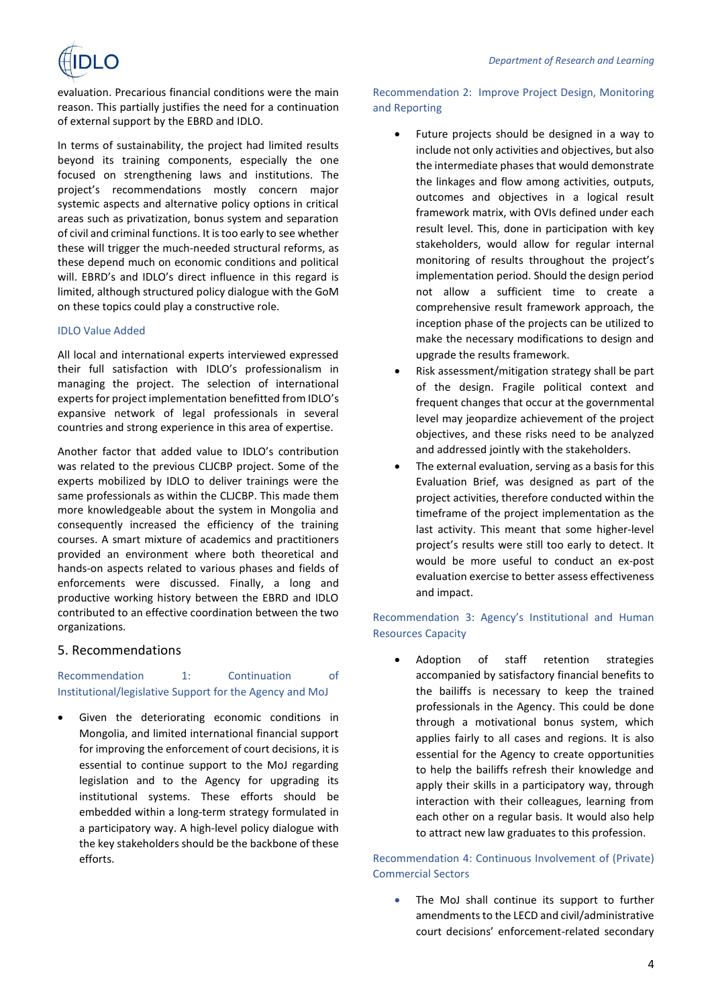evaluation. Precarious financial conditions were the main reason. This partially justifies the need for a continuation of external support by the EBRD and IDLO.

In terms of sustainability, the project had limited results beyond its training components, especially the one focused on strengthening laws and institutions. The project's recommendations mostly concern major systemic aspects and alternative policy options in critical areas such as privatization, bonus system and separation of civil and criminal functions. It is too early to see whether these will trigger the much-needed structural reforms, as these depend much on economic conditions and political will. EBRD's and IDLO's direct influence in this regard is limited, although structured policy dialogue with the GoM on these topics could play a constructive role.

## IDLO Value Added

All local and international experts interviewed expressed their full satisfaction with IDLO's professionalism in managing the project. The selection of international experts for project implementation benefitted from IDLO's expansive network of legal professionals in several countries and strong experience in this area of expertise.

Another factor that added value to IDLO's contribution was related to the previous CLJCBP project. Some of the experts mobilized by IDLO to deliver trainings were the same professionals as within the CLJCBP. This made them more knowledgeable about the system in Mongolia and consequently increased the efficiency of the training courses. A smart mixture of academics and practitioners provided an environment where both theoretical and hands-on aspects related to various phases and fields of enforcements were discussed. Finally, a long and productive working history between the EBRD and IDLO contributed to an effective coordination between the two organizations.

# 5. Recommendations

# Recommendation 1: Continuation of Institutional/legislative Support for the Agency and MoJ

Given the deteriorating economic conditions in Mongolia, and limited international financial support for improving the enforcement of court decisions, it is essential to continue support to the MoJ regarding legislation and to the Agency for upgrading its institutional systems. These efforts should be embedded within a long-term strategy formulated in a participatory way. A high-level policy dialogue with the key stakeholders should be the backbone of these efforts.

# Recommendation 2: Improve Project Design, Monitoring and Reporting

- Future projects should be designed in a way to include not only activities and objectives, but also the intermediate phases that would demonstrate the linkages and flow among activities, outputs, outcomes and objectives in a logical result framework matrix, with OVIs defined under each result level. This, done in participation with key stakeholders, would allow for regular internal monitoring of results throughout the project's implementation period. Should the design period not allow a sufficient time to create a comprehensive result framework approach, the inception phase of the projects can be utilized to make the necessary modifications to design and upgrade the results framework.
- Risk assessment/mitigation strategy shall be part of the design. Fragile political context and frequent changes that occur at the governmental level may jeopardize achievement of the project objectives, and these risks need to be analyzed and addressed jointly with the stakeholders.
- The external evaluation, serving as a basis for this Evaluation Brief, was designed as part of the project activities, therefore conducted within the timeframe of the project implementation as the last activity. This meant that some higher-level project's results were still too early to detect. It would be more useful to conduct an ex-post evaluation exercise to better assess effectiveness and impact.

# Recommendation 3: Agency's Institutional and Human Resources Capacity

• Adoption of staff retention strategies accompanied by satisfactory financial benefits to the bailiffs is necessary to keep the trained professionals in the Agency. This could be done through a motivational bonus system, which applies fairly to all cases and regions. It is also essential for the Agency to create opportunities to help the bailiffs refresh their knowledge and apply their skills in a participatory way, through interaction with their colleagues, learning from each other on a regular basis. It would also help to attract new law graduates to this profession.

Recommendation 4: Continuous Involvement of (Private) Commercial Sectors

The MoJ shall continue its support to further amendments to the LECD and civil/administrative court decisions' enforcement-related secondary